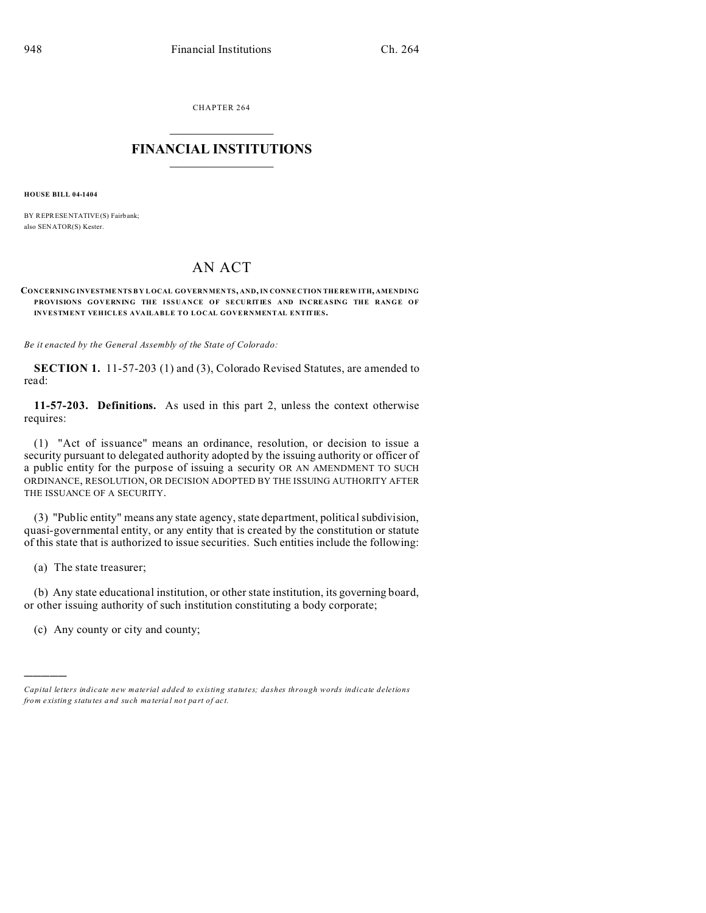CHAPTER 264  $\overline{\phantom{a}}$  , where  $\overline{\phantom{a}}$ 

## **FINANCIAL INSTITUTIONS**  $\frac{1}{2}$  ,  $\frac{1}{2}$  ,  $\frac{1}{2}$  ,  $\frac{1}{2}$  ,  $\frac{1}{2}$  ,  $\frac{1}{2}$  ,  $\frac{1}{2}$

**HOUSE BILL 04-1404**

BY REPRESENTATIVE(S) Fairbank: also SENATOR(S) Kester.

## AN ACT

## **CONCERNING INVESTME NTS B Y LOCAL GOVERNMEN TS, AND, IN CONNE CTION THE REW ITH, AMENDING PROVISIONS GOVERNING THE ISSUANCE OF SECURITIES AND INCREASING THE RANGE OF INVESTMENT VEHICLES AVAILABLE TO LOCAL GOVERNMENTAL ENTITIES.**

*Be it enacted by the General Assembly of the State of Colorado:*

**SECTION 1.** 11-57-203 (1) and (3), Colorado Revised Statutes, are amended to read:

**11-57-203. Definitions.** As used in this part 2, unless the context otherwise requires:

(1) "Act of issuance" means an ordinance, resolution, or decision to issue a security pursuant to delegated authority adopted by the issuing authority or officer of a public entity for the purpose of issuing a security OR AN AMENDMENT TO SUCH ORDINANCE, RESOLUTION, OR DECISION ADOPTED BY THE ISSUING AUTHORITY AFTER THE ISSUANCE OF A SECURITY.

(3) "Public entity" means any state agency, state department, political subdivision, quasi-governmental entity, or any entity that is created by the constitution or statute of this state that is authorized to issue securities. Such entities include the following:

(a) The state treasurer;

)))))

(b) Any state educational institution, or other state institution, its governing board, or other issuing authority of such institution constituting a body corporate;

(c) Any county or city and county;

*Capital letters indicate new material added to existing statutes; dashes through words indicate deletions from e xistin g statu tes a nd such ma teria l no t pa rt of ac t.*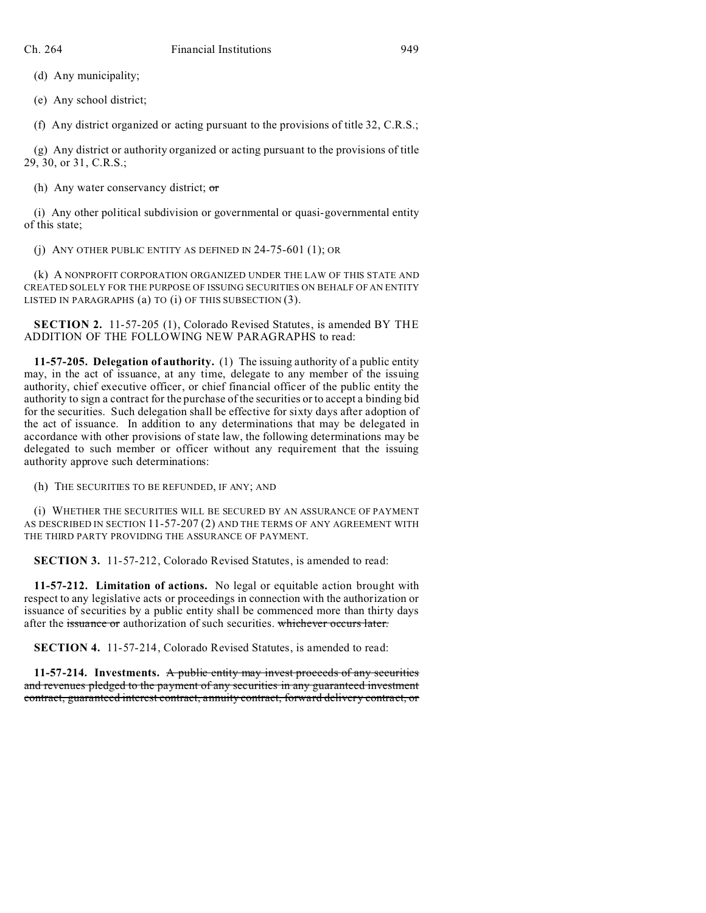(d) Any municipality;

(e) Any school district;

(f) Any district organized or acting pursuant to the provisions of title 32, C.R.S.;

(g) Any district or authority organized or acting pursuant to the provisions of title 29, 30, or 31, C.R.S.;

(h) Any water conservancy district;  $\sigma$ 

(i) Any other political subdivision or governmental or quasi-governmental entity of this state;

(j) ANY OTHER PUBLIC ENTITY AS DEFINED IN 24-75-601 (1); OR

(k) A NONPROFIT CORPORATION ORGANIZED UNDER THE LAW OF THIS STATE AND CREATED SOLELY FOR THE PURPOSE OF ISSUING SECURITIES ON BEHALF OF AN ENTITY LISTED IN PARAGRAPHS  $(a)$  TO  $(i)$  OF THIS SUBSECTION  $(3)$ .

**SECTION 2.** 11-57-205 (1), Colorado Revised Statutes, is amended BY THE ADDITION OF THE FOLLOWING NEW PARAGRAPHS to read:

**11-57-205. Delegation of authority.** (1) The issuing authority of a public entity may, in the act of issuance, at any time, delegate to any member of the issuing authority, chief executive officer, or chief financial officer of the public entity the authority to sign a contract for the purchase of the securities or to accept a binding bid for the securities. Such delegation shall be effective for sixty days after adoption of the act of issuance. In addition to any determinations that may be delegated in accordance with other provisions of state law, the following determinations may be delegated to such member or officer without any requirement that the issuing authority approve such determinations:

(h) THE SECURITIES TO BE REFUNDED, IF ANY; AND

(i) WHETHER THE SECURITIES WILL BE SECURED BY AN ASSURANCE OF PAYMENT AS DESCRIBED IN SECTION 11-57-207 (2) AND THE TERMS OF ANY AGREEMENT WITH THE THIRD PARTY PROVIDING THE ASSURANCE OF PAYMENT.

**SECTION 3.** 11-57-212, Colorado Revised Statutes, is amended to read:

**11-57-212. Limitation of actions.** No legal or equitable action brought with respect to any legislative acts or proceedings in connection with the authorization or issuance of securities by a public entity shall be commenced more than thirty days after the issuance or authorization of such securities. whichever occurs later.

**SECTION 4.** 11-57-214, Colorado Revised Statutes, is amended to read:

**11-57-214. Investments.** A public entity may invest proceeds of any securities and revenues pledged to the payment of any securities in any guaranteed investment contract, guaranteed interest contract, annuity contract, forward delivery contract, or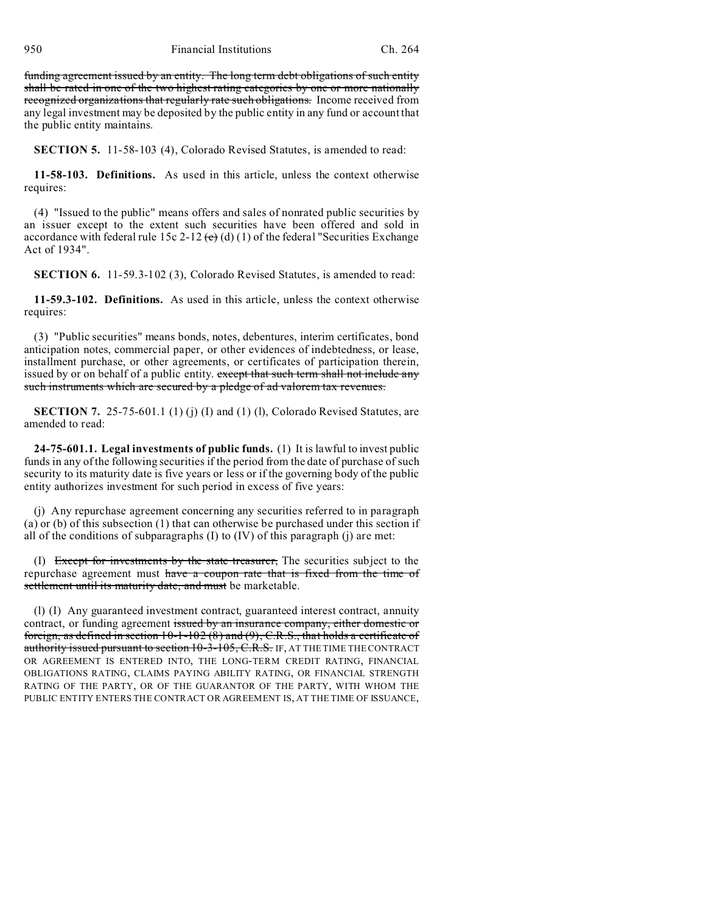funding agreement issued by an entity. The long term debt obligations of such entity shall be rated in one of the two highest rating categories by one or more nationally recognized organizations that regularly rate such obligations. Income received from any legal investment may be deposited by the public entity in any fund or account that the public entity maintains.

**SECTION 5.** 11-58-103 (4), Colorado Revised Statutes, is amended to read:

**11-58-103. Definitions.** As used in this article, unless the context otherwise requires:

(4) "Issued to the public" means offers and sales of nonrated public securities by an issuer except to the extent such securities have been offered and sold in accordance with federal rule 15c 2-12  $\left(\frac{e}{d}\right)$  (1) of the federal "Securities Exchange Act of 1934".

**SECTION 6.** 11-59.3-102 (3), Colorado Revised Statutes, is amended to read:

**11-59.3-102. Definitions.** As used in this article, unless the context otherwise requires:

(3) "Public securities" means bonds, notes, debentures, interim certificates, bond anticipation notes, commercial paper, or other evidences of indebtedness, or lease, installment purchase, or other agreements, or certificates of participation therein, issued by or on behalf of a public entity. except that such term shall not include any such instruments which are secured by a pledge of ad valorem tax revenues.

**SECTION 7.** 25-75-601.1 (1) (j) (I) and (1) (l), Colorado Revised Statutes, are amended to read:

**24-75-601.1. Legal investments of public funds.** (1) It is lawful to invest public funds in any of the following securities if the period from the date of purchase of such security to its maturity date is five years or less or if the governing body of the public entity authorizes investment for such period in excess of five years:

(j) Any repurchase agreement concerning any securities referred to in paragraph (a) or (b) of this subsection (1) that can otherwise be purchased under this section if all of the conditions of subparagraphs  $(I)$  to  $(IV)$  of this paragraph  $(i)$  are met:

(I) Except for investments by the state treasurer, The securities subject to the repurchase agreement must have a coupon rate that is fixed from the time of settlement until its maturity date, and must be marketable.

(l) (I) Any guaranteed investment contract, guaranteed interest contract, annuity contract, or funding agreement issued by an insurance company, either domestic or foreign, as defined in section  $10-1-102(8)$  and  $(9)$ , C.R.S., that holds a certificate of authority issued pursuant to section 10-3-105, C.R.S. IF, AT THE TIME THE CONTRACT OR AGREEMENT IS ENTERED INTO, THE LONG-TERM CREDIT RATING, FINANCIAL OBLIGATIONS RATING, CLAIMS PAYING ABILITY RATING, OR FINANCIAL STRENGTH RATING OF THE PARTY, OR OF THE GUARANTOR OF THE PARTY, WITH WHOM THE PUBLIC ENTITY ENTERS THE CONTRACT OR AGREEMENT IS, AT THE TIME OF ISSUANCE,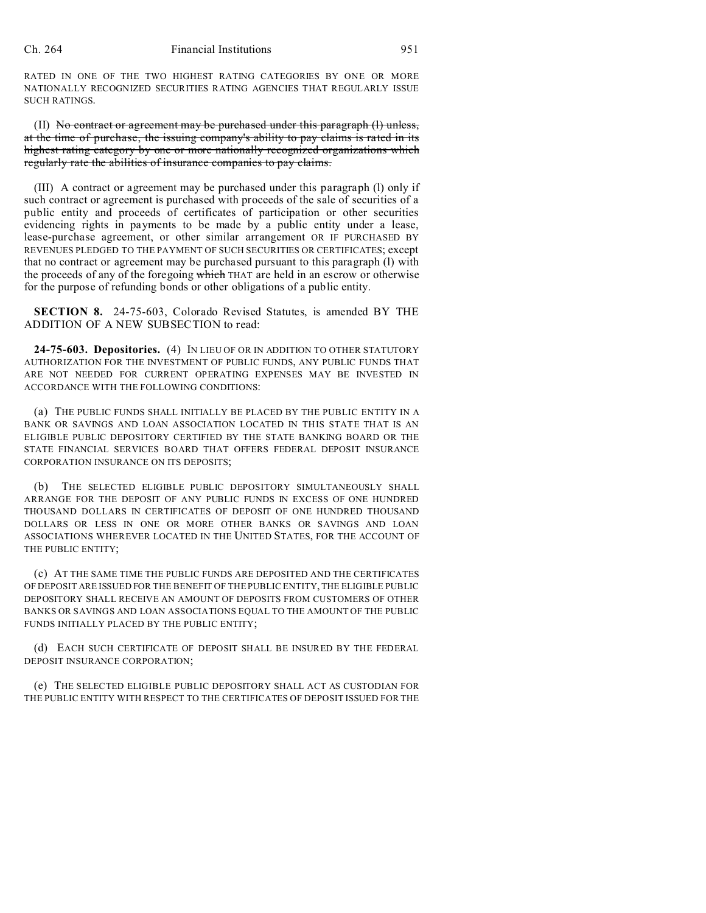RATED IN ONE OF THE TWO HIGHEST RATING CATEGORIES BY ONE OR MORE NATIONALLY RECOGNIZED SECURITIES RATING AGENCIES THAT REGULARLY ISSUE SUCH RATINGS.

(II) No contract or agreement may be purchased under this paragraph (l) unless, at the time of purchase, the issuing company's ability to pay claims is rated in its highest rating category by one or more nationally recognized organizations which regularly rate the abilities of insurance companies to pay claims.

(III) A contract or agreement may be purchased under this paragraph (l) only if such contract or agreement is purchased with proceeds of the sale of securities of a public entity and proceeds of certificates of participation or other securities evidencing rights in payments to be made by a public entity under a lease, lease-purchase agreement, or other similar arrangement OR IF PURCHASED BY REVENUES PLEDGED TO THE PAYMENT OF SUCH SECURITIES OR CERTIFICATES; except that no contract or agreement may be purchased pursuant to this paragraph (l) with the proceeds of any of the foregoing which THAT are held in an escrow or otherwise for the purpose of refunding bonds or other obligations of a public entity.

**SECTION 8.** 24-75-603, Colorado Revised Statutes, is amended BY THE ADDITION OF A NEW SUBSECTION to read:

**24-75-603. Depositories.** (4) IN LIEU OF OR IN ADDITION TO OTHER STATUTORY AUTHORIZATION FOR THE INVESTMENT OF PUBLIC FUNDS, ANY PUBLIC FUNDS THAT ARE NOT NEEDED FOR CURRENT OPERATING EXPENSES MAY BE INVESTED IN ACCORDANCE WITH THE FOLLOWING CONDITIONS:

(a) THE PUBLIC FUNDS SHALL INITIALLY BE PLACED BY THE PUBLIC ENTITY IN A BANK OR SAVINGS AND LOAN ASSOCIATION LOCATED IN THIS STATE THAT IS AN ELIGIBLE PUBLIC DEPOSITORY CERTIFIED BY THE STATE BANKING BOARD OR THE STATE FINANCIAL SERVICES BOARD THAT OFFERS FEDERAL DEPOSIT INSURANCE CORPORATION INSURANCE ON ITS DEPOSITS;

(b) THE SELECTED ELIGIBLE PUBLIC DEPOSITORY SIMULTANEOUSLY SHALL ARRANGE FOR THE DEPOSIT OF ANY PUBLIC FUNDS IN EXCESS OF ONE HUNDRED THOUSAND DOLLARS IN CERTIFICATES OF DEPOSIT OF ONE HUNDRED THOUSAND DOLLARS OR LESS IN ONE OR MORE OTHER BANKS OR SAVINGS AND LOAN ASSOCIATIONS WHEREVER LOCATED IN THE UNITED STATES, FOR THE ACCOUNT OF THE PUBLIC ENTITY;

(c) AT THE SAME TIME THE PUBLIC FUNDS ARE DEPOSITED AND THE CERTIFICATES OF DEPOSIT ARE ISSUED FOR THE BENEFIT OF THE PUBLIC ENTITY, THE ELIGIBLE PUBLIC DEPOSITORY SHALL RECEIVE AN AMOUNT OF DEPOSITS FROM CUSTOMERS OF OTHER BANKS OR SAVINGS AND LOAN ASSOCIATIONS EQUAL TO THE AMOUNT OF THE PUBLIC FUNDS INITIALLY PLACED BY THE PUBLIC ENTITY;

(d) EACH SUCH CERTIFICATE OF DEPOSIT SHALL BE INSURED BY THE FEDERAL DEPOSIT INSURANCE CORPORATION;

(e) THE SELECTED ELIGIBLE PUBLIC DEPOSITORY SHALL ACT AS CUSTODIAN FOR THE PUBLIC ENTITY WITH RESPECT TO THE CERTIFICATES OF DEPOSIT ISSUED FOR THE